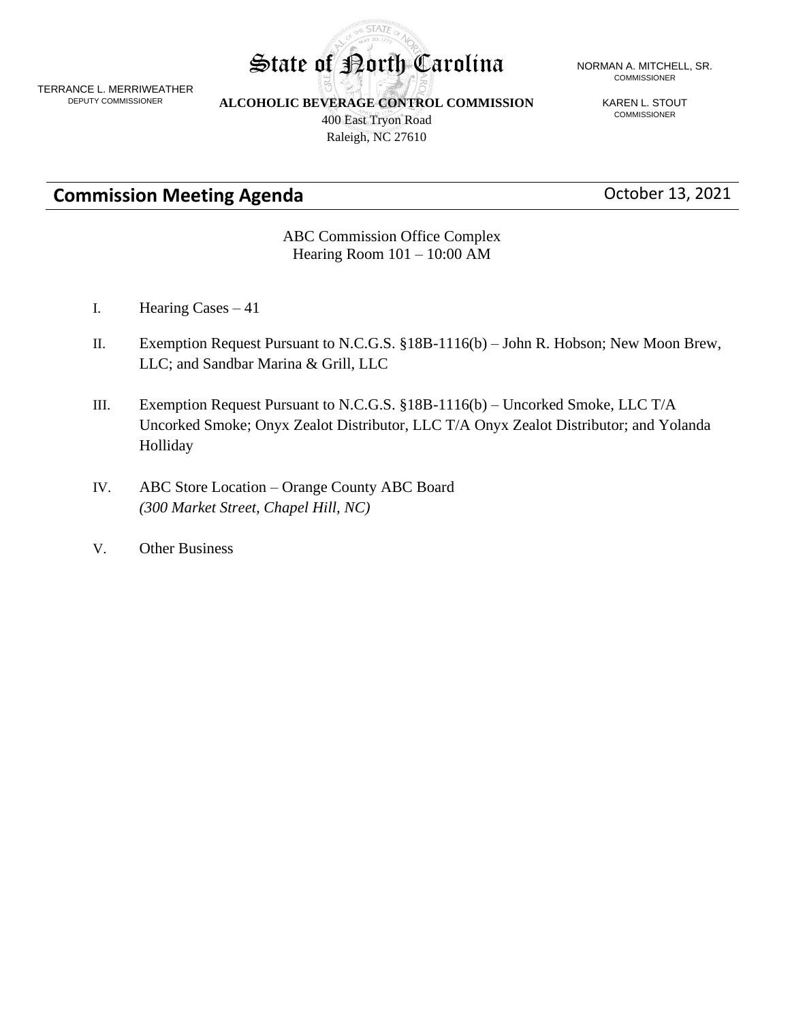TERRANCE L. MERRIWEATHER DEPUTY COMMISSIONER

**ALCOHOLIC BEVERAGE CONTROL COMMISSION**

**STATE** 

400 East Tryon Road Raleigh, NC 27610

#### State of Porth Carolina NORMAN A. MITCHELL, SR. COMMISSIONER

KAREN L. STOUT COMMISSIONER

# **Commission Meeting Agenda Commission Meeting Agenda Commission Meeting Agenda**

#### ABC Commission Office Complex Hearing Room 101 – 10:00 AM

- I. Hearing Cases 41
- II. Exemption Request Pursuant to N.C.G.S. §18B-1116(b) John R. Hobson; New Moon Brew, LLC; and Sandbar Marina & Grill, LLC
- III. Exemption Request Pursuant to N.C.G.S. §18B-1116(b) Uncorked Smoke, LLC T/A Uncorked Smoke; Onyx Zealot Distributor, LLC T/A Onyx Zealot Distributor; and Yolanda Holliday
- IV. ABC Store Location Orange County ABC Board *(300 Market Street, Chapel Hill, NC)*
- V. Other Business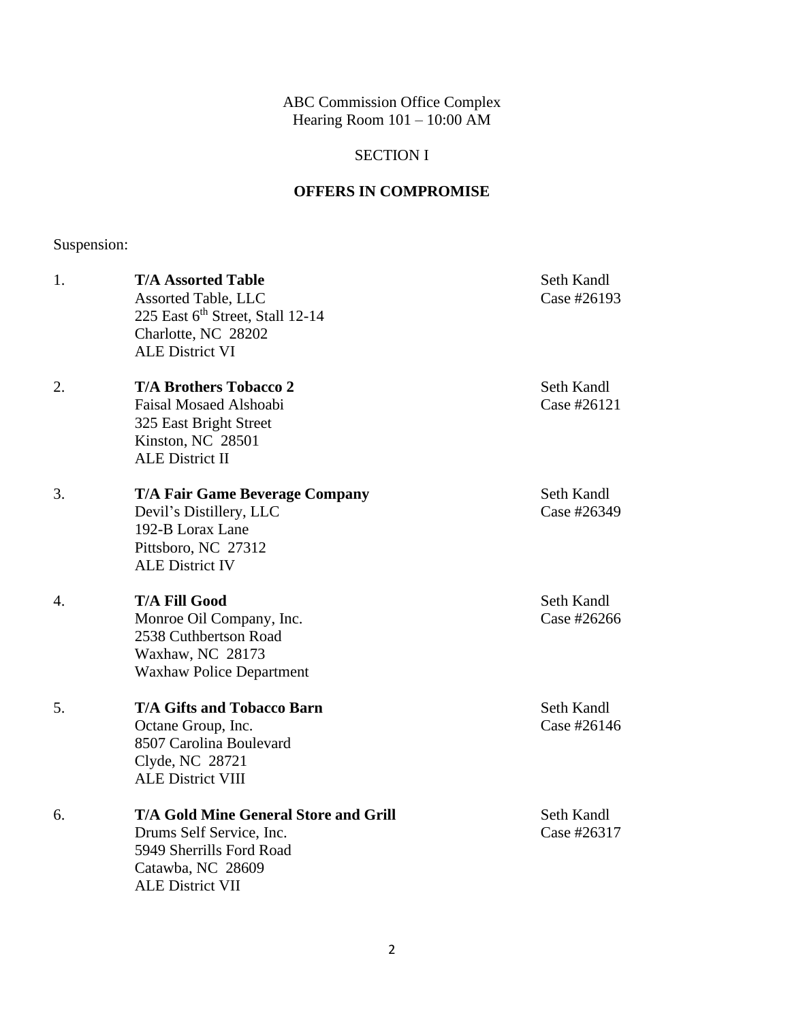ABC Commission Office Complex Hearing Room 101 – 10:00 AM

### SECTION I

### **OFFERS IN COMPROMISE**

# Suspension:

| 1. | <b>T/A Assorted Table</b><br><b>Assorted Table, LLC</b><br>225 East 6th Street, Stall 12-14<br>Charlotte, NC 28202<br><b>ALE District VI</b>         | Seth Kandl<br>Case #26193 |
|----|------------------------------------------------------------------------------------------------------------------------------------------------------|---------------------------|
| 2. | <b>T/A Brothers Tobacco 2</b><br><b>Faisal Mosaed Alshoabi</b><br>325 East Bright Street<br>Kinston, NC 28501<br><b>ALE District II</b>              | Seth Kandl<br>Case #26121 |
| 3. | <b>T/A Fair Game Beverage Company</b><br>Devil's Distillery, LLC<br>192-B Lorax Lane<br>Pittsboro, NC 27312<br><b>ALE District IV</b>                | Seth Kandl<br>Case #26349 |
| 4. | <b>T/A Fill Good</b><br>Monroe Oil Company, Inc.<br>2538 Cuthbertson Road<br>Waxhaw, NC 28173<br><b>Waxhaw Police Department</b>                     | Seth Kandl<br>Case #26266 |
| 5. | <b>T/A Gifts and Tobacco Barn</b><br>Octane Group, Inc.<br>8507 Carolina Boulevard<br>Clyde, NC 28721<br><b>ALE District VIII</b>                    | Seth Kandl<br>Case #26146 |
| 6. | <b>T/A Gold Mine General Store and Grill</b><br>Drums Self Service, Inc.<br>5949 Sherrills Ford Road<br>Catawba, NC 28609<br><b>ALE District VII</b> | Seth Kandl<br>Case #26317 |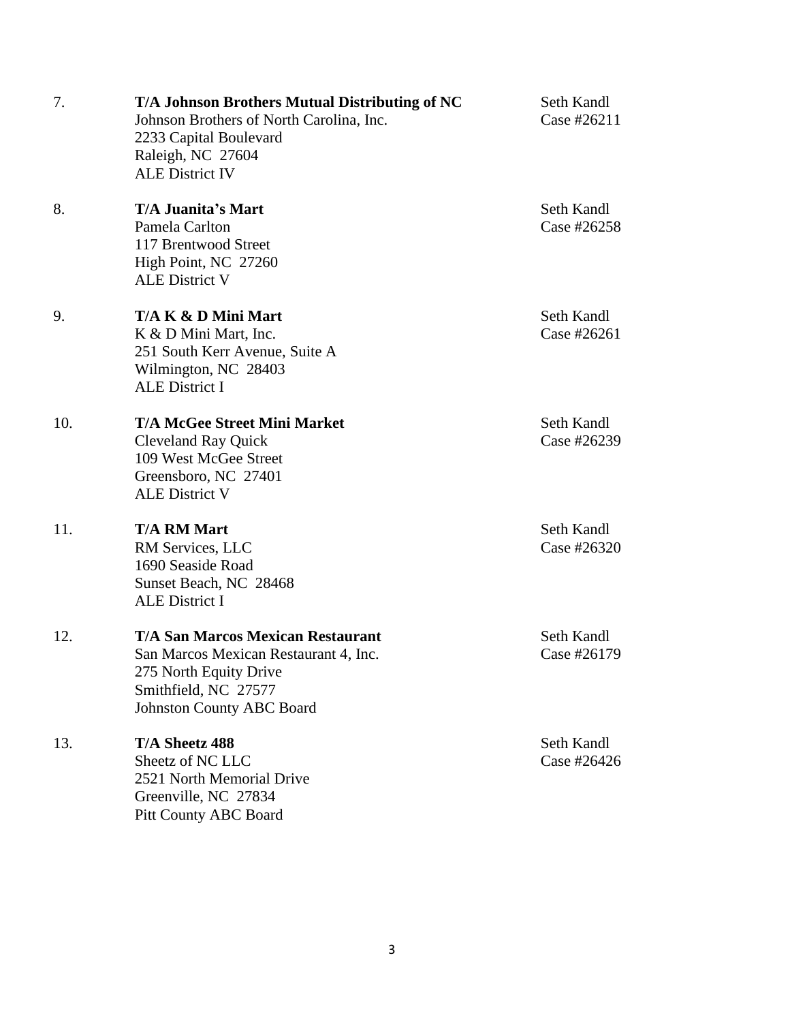| 7.  | T/A Johnson Brothers Mutual Distributing of NC<br>Johnson Brothers of North Carolina, Inc.<br>2233 Capital Boulevard<br>Raleigh, NC 27604<br><b>ALE District IV</b>     | Seth Kandl<br>Case #26211 |
|-----|-------------------------------------------------------------------------------------------------------------------------------------------------------------------------|---------------------------|
| 8.  | <b>T/A Juanita's Mart</b><br>Pamela Carlton<br>117 Brentwood Street<br>High Point, NC 27260<br><b>ALE District V</b>                                                    | Seth Kandl<br>Case #26258 |
| 9.  | T/A K & D Mini Mart<br>K & D Mini Mart, Inc.<br>251 South Kerr Avenue, Suite A<br>Wilmington, NC 28403<br><b>ALE District I</b>                                         | Seth Kandl<br>Case #26261 |
| 10. | <b>T/A McGee Street Mini Market</b><br><b>Cleveland Ray Quick</b><br>109 West McGee Street<br>Greensboro, NC 27401<br><b>ALE District V</b>                             | Seth Kandl<br>Case #26239 |
| 11. | <b>T/A RM Mart</b><br>RM Services, LLC<br>1690 Seaside Road<br>Sunset Beach, NC 28468<br><b>ALE District I</b>                                                          | Seth Kandl<br>Case #26320 |
| 12. | <b>T/A San Marcos Mexican Restaurant</b><br>San Marcos Mexican Restaurant 4, Inc.<br>275 North Equity Drive<br>Smithfield, NC 27577<br><b>Johnston County ABC Board</b> | Seth Kandl<br>Case #26179 |
| 13. | T/A Sheetz 488<br>Sheetz of NC LLC<br>2521 North Memorial Drive<br>Greenville, NC 27834<br><b>Pitt County ABC Board</b>                                                 | Seth Kandl<br>Case #26426 |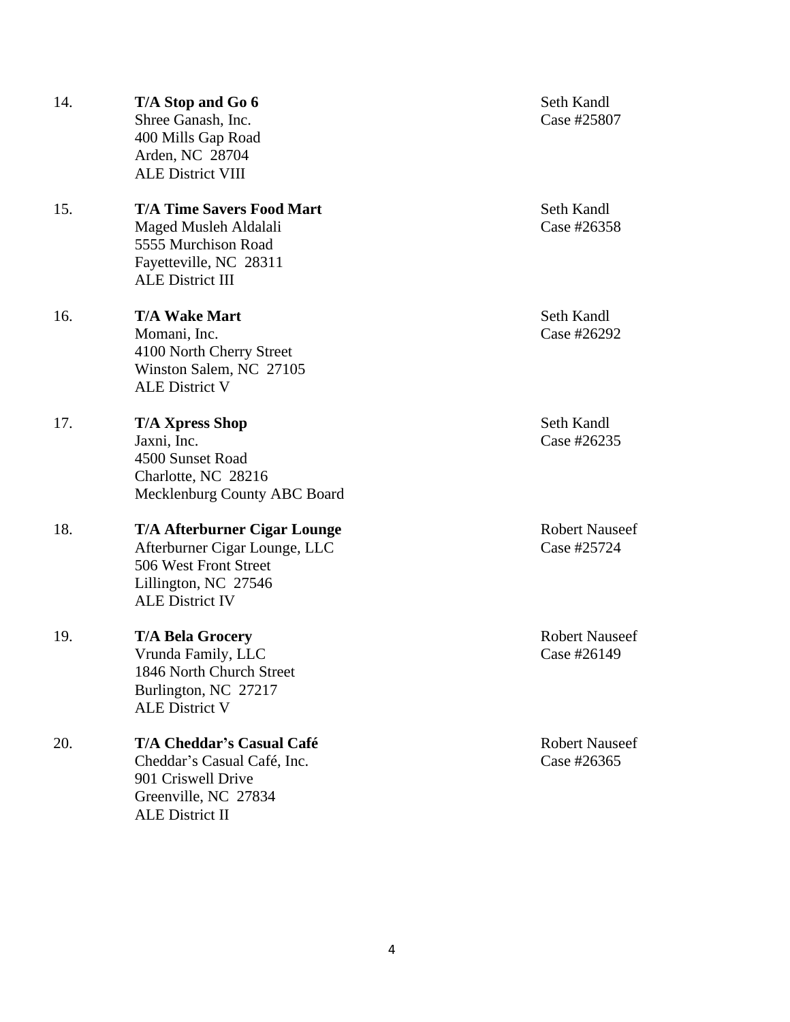| 14. | T/A Stop and Go 6<br>Shree Ganash, Inc.<br>400 Mills Gap Road<br>Arden, NC 28704<br><b>ALE District VIII</b>                                    | Seth Kandl<br>Case #25807          |
|-----|-------------------------------------------------------------------------------------------------------------------------------------------------|------------------------------------|
| 15. | <b>T/A Time Savers Food Mart</b><br>Maged Musleh Aldalali<br>5555 Murchison Road<br>Fayetteville, NC 28311<br><b>ALE District III</b>           | Seth Kandl<br>Case #26358          |
| 16. | <b>T/A Wake Mart</b><br>Momani, Inc.<br>4100 North Cherry Street<br>Winston Salem, NC 27105<br><b>ALE District V</b>                            | Seth Kandl<br>Case #26292          |
| 17. | <b>T/A Xpress Shop</b><br>Jaxni, Inc.<br>4500 Sunset Road<br>Charlotte, NC 28216<br>Mecklenburg County ABC Board                                | Seth Kandl<br>Case #26235          |
| 18. | <b>T/A Afterburner Cigar Lounge</b><br>Afterburner Cigar Lounge, LLC<br>506 West Front Street<br>Lillington, NC 27546<br><b>ALE District IV</b> | <b>Robert Nause</b><br>Case #25724 |
| 19. | <b>T/A Bela Grocery</b><br>Vrunda Family, LLC<br>1846 North Church Street<br>Burlington, NC 27217<br><b>ALE District V</b>                      | <b>Robert Nause</b><br>Case #26149 |
| 20. | <b>T/A Cheddar's Casual Café</b><br>Cheddar's Casual Café, Inc.<br>901 Criswell Drive<br>Greenville, NC 27834<br>ALE District II                | <b>Robert Nause</b><br>Case #26365 |

**Zobert Nauseef**  $\csc \#25724$ 

**Tobert Nauseef**  $\csc \#26149$ 

**Zobert Nauseef**  $\csc \#26365$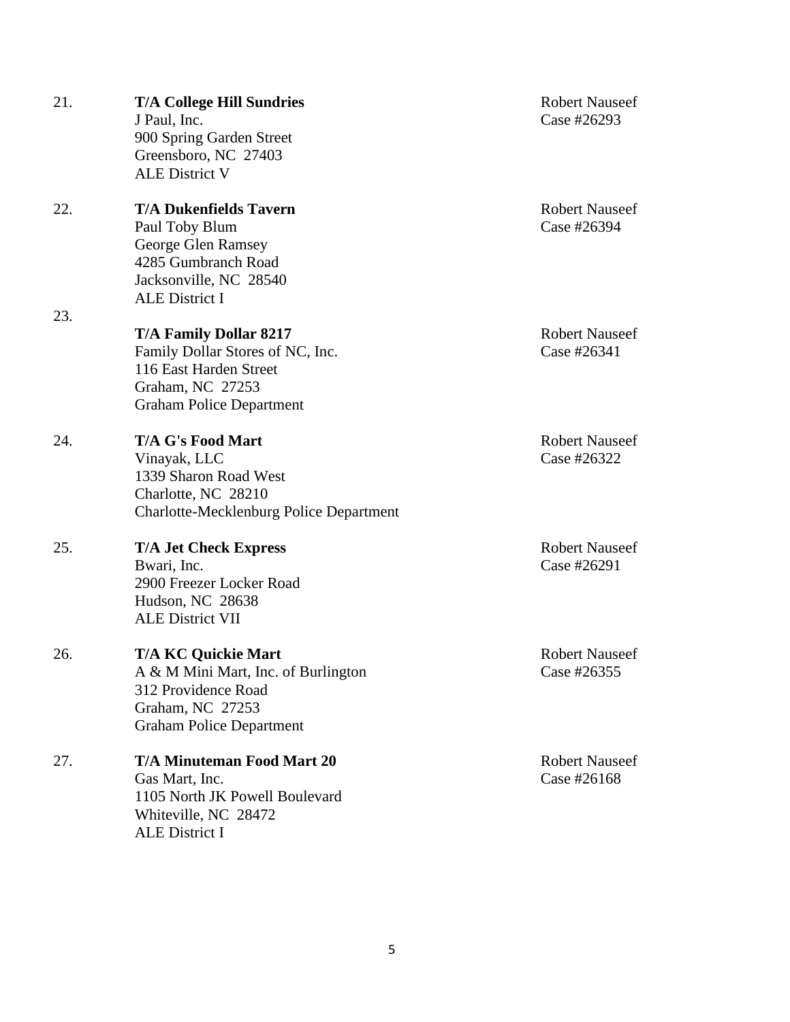| 21. | <b>T/A College Hill Sundries</b><br>J Paul, Inc.<br>900 Spring Garden Street<br>Greensboro, NC 27403<br><b>ALE District V</b>                      | <b>Robert Nauseef</b><br>Case #26293 |
|-----|----------------------------------------------------------------------------------------------------------------------------------------------------|--------------------------------------|
| 22. | <b>T/A Dukenfields Tavern</b><br>Paul Toby Blum<br>George Glen Ramsey<br>4285 Gumbranch Road<br>Jacksonville, NC 28540<br><b>ALE District I</b>    | <b>Robert Nauseef</b><br>Case #26394 |
| 23. | <b>T/A Family Dollar 8217</b><br>Family Dollar Stores of NC, Inc.<br>116 East Harden Street<br>Graham, NC 27253<br><b>Graham Police Department</b> | <b>Robert Nauseef</b><br>Case #26341 |
| 24. | <b>T/A G's Food Mart</b><br>Vinayak, LLC<br>1339 Sharon Road West<br>Charlotte, NC 28210<br><b>Charlotte-Mecklenburg Police Department</b>         | <b>Robert Nauseef</b><br>Case #26322 |
| 25. | <b>T/A Jet Check Express</b><br>Bwari, Inc.<br>2900 Freezer Locker Road<br>Hudson, NC 28638<br><b>ALE District VII</b>                             | <b>Robert Nauseef</b><br>Case #26291 |
| 26. | <b>T/A KC Quickie Mart</b><br>A & M Mini Mart, Inc. of Burlington<br>312 Providence Road<br>Graham, NC 27253<br><b>Graham Police Department</b>    | <b>Robert Nauseef</b><br>Case #26355 |
| 27. | <b>T/A Minuteman Food Mart 20</b><br>Gas Mart, Inc.<br>1105 North JK Powell Boulevard<br>Whiteville, NC 28472<br>ALE District I                    | <b>Robert Nauseef</b><br>Case #26168 |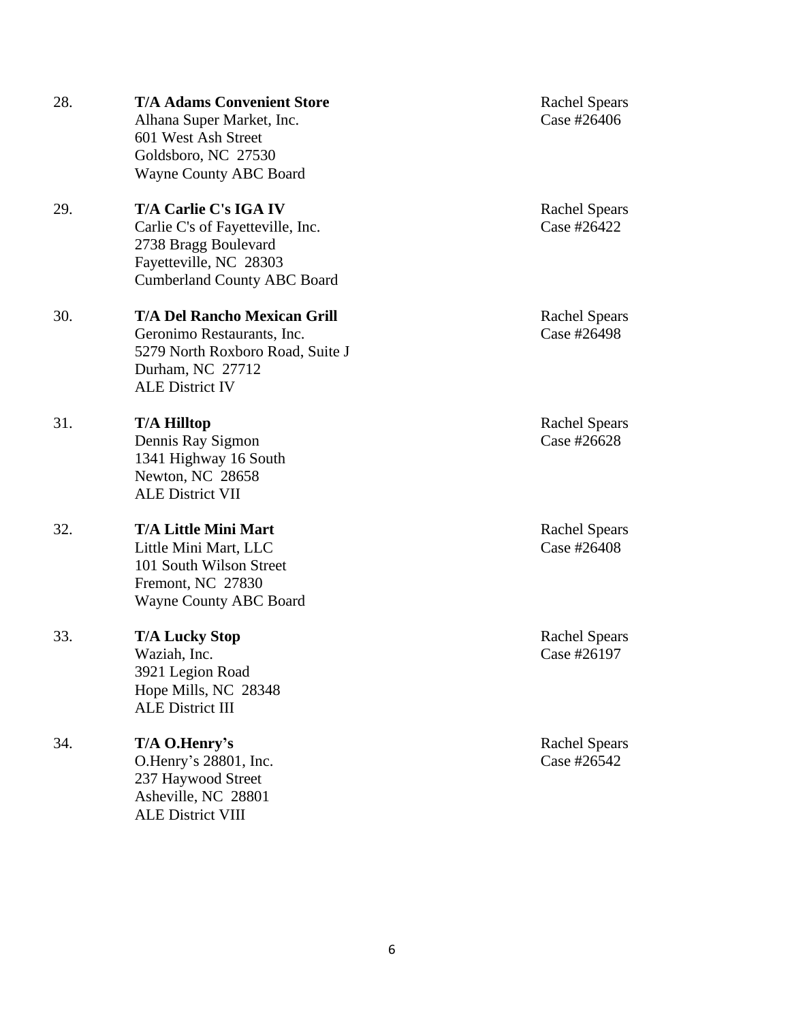|     | Alhana Super Market, Inc.<br>601 West Ash Street<br>Goldsboro, NC 27530<br><b>Wayne County ABC Board</b>                                            |
|-----|-----------------------------------------------------------------------------------------------------------------------------------------------------|
| 29. | T/A Carlie C's IGA IV<br>Carlie C's of Fayetteville, Inc.<br>2738 Bragg Boulevard<br>Fayetteville, NC 28303<br><b>Cumberland County ABC Board</b>   |
| 30. | <b>T/A Del Rancho Mexican Grill</b><br>Geronimo Restaurants, Inc.<br>5279 North Roxboro Road, Suite J<br>Durham, NC 27712<br><b>ALE District IV</b> |
| 31. | <b>T/A Hilltop</b><br>Dennis Ray Sigmon<br>1341 Highway 16 South<br>Newton, NC 28658<br><b>ALE District VII</b>                                     |
| 32. | <b>T/A Little Mini Mart</b><br>Little Mini Mart, LLC<br>101 South Wilson Street<br>Fremont, NC 27830<br><b>Wayne County ABC Board</b>               |
| 33. | <b>T/A Lucky Stop</b><br>Waziah, Inc.<br>3921 Legion Road<br>Hope Mills, NC 28348<br><b>ALE District III</b>                                        |
| 34. | T/A O.Henry's<br>O.Henry's 28801, Inc.<br>237 Haywood Street<br>Asheville, NC 28801                                                                 |

ALE District VIII

28. **T/A Adams Convenient Store** Rachel Spears<br>Alhana Super Market, Inc. Case #26406

Rachel Spears Case #26422

Rachel Spears  $\csc \#26498$ <br>J

> Rachel Spears Case #26628

> Rachel Spears Case #26408

Rachel Spears Case #26197

Rachel Spears Case #26542